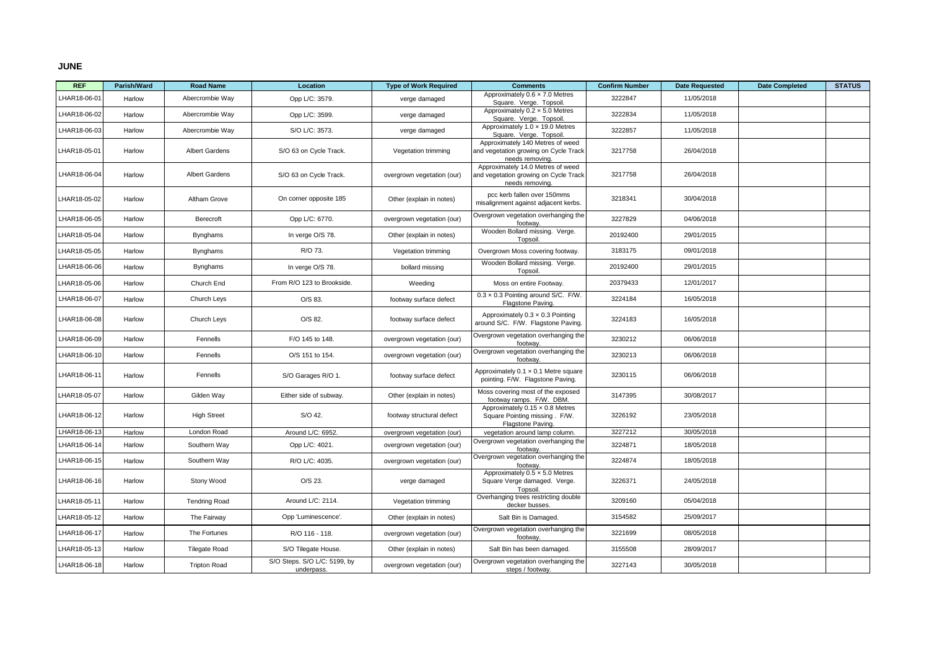## **JUNE**

| <b>REF</b>   | Parish/Ward | <b>Road Name</b>      | Location                                   | <b>Type of Work Required</b> | <b>Comments</b>                                                                               | <b>Confirm Number</b> | <b>Date Requested</b> | <b>Date Completed</b> | <b>STATUS</b> |
|--------------|-------------|-----------------------|--------------------------------------------|------------------------------|-----------------------------------------------------------------------------------------------|-----------------------|-----------------------|-----------------------|---------------|
| LHAR18-06-01 | Harlow      | Abercrombie Way       | Opp L/C: 3579.                             | verge damaged                | Approximately $0.6 \times 7.0$ Metres<br>Square. Verge. Topsoil                               | 3222847               | 11/05/2018            |                       |               |
| LHAR18-06-02 | Harlow      | Abercrombie Way       | Opp L/C: 3599.                             | verge damaged                | Approximately $0.2 \times 5.0$ Metres<br>Square. Verge. Topsoil.                              | 3222834               | 11/05/2018            |                       |               |
| LHAR18-06-03 | Harlow      | Abercrombie Way       | S/O L/C: 3573.                             | verge damaged                | Approximately 1.0 x 19.0 Metres<br>Square. Verge. Topsoil                                     | 3222857               | 11/05/2018            |                       |               |
| LHAR18-05-01 | Harlow      | <b>Albert Gardens</b> | S/O 63 on Cycle Track.                     | Vegetation trimming          | Approximately 140 Metres of weed<br>and vegetation growing on Cycle Track<br>needs removing.  | 3217758               | 26/04/2018            |                       |               |
| LHAR18-06-04 | Harlow      | <b>Albert Gardens</b> | S/O 63 on Cycle Track.                     | overgrown vegetation (our)   | Approximately 14.0 Metres of weed<br>and vegetation growing on Cycle Track<br>needs removing. | 3217758               | 26/04/2018            |                       |               |
| HAR18-05-02  | Harlow      | Altham Grove          | On corner opposite 185                     | Other (explain in notes)     | pcc kerb fallen over 150mms<br>misalignment against adjacent kerbs.                           | 3218341               | 30/04/2018            |                       |               |
| LHAR18-06-05 | Harlow      | Berecroft             | Opp L/C: 6770.                             | overgrown vegetation (our)   | Overgrown vegetation overhanging the<br>footway.                                              | 3227829               | 04/06/2018            |                       |               |
| LHAR18-05-04 | Harlow      | <b>Bynghams</b>       | In verge O/S 78.                           | Other (explain in notes)     | Wooden Bollard missing. Verge.<br>Topsoil                                                     | 20192400              | 29/01/2015            |                       |               |
| LHAR18-05-05 | Harlow      | <b>Bynghams</b>       | R/O 73.                                    | Vegetation trimming          | Overgrown Moss covering footway.                                                              | 3183175               | 09/01/2018            |                       |               |
| LHAR18-06-06 | Harlow      | <b>Bynghams</b>       | In verge O/S 78.                           | bollard missing              | Wooden Bollard missing. Verge.<br>Topsoil                                                     | 20192400              | 29/01/2015            |                       |               |
| LHAR18-05-06 | Harlow      | Church End            | From R/O 123 to Brookside.                 | Weeding                      | Moss on entire Footway.                                                                       | 20379433              | 12/01/2017            |                       |               |
| LHAR18-06-07 | Harlow      | Church Leys           | O/S 83.                                    | footway surface defect       | $0.3 \times 0.3$ Pointing around S/C. F/W.<br>Flagstone Paving                                | 3224184               | 16/05/2018            |                       |               |
| LHAR18-06-08 | Harlow      | Church Leys           | O/S 82.                                    | footway surface defect       | Approximately $0.3 \times 0.3$ Pointing<br>around S/C. F/W. Flagstone Paving.                 | 3224183               | 16/05/2018            |                       |               |
| LHAR18-06-09 | Harlow      | Fennells              | F/O 145 to 148.                            | overgrown vegetation (our)   | Overgrown vegetation overhanging the<br>footway.                                              | 3230212               | 06/06/2018            |                       |               |
| LHAR18-06-10 | Harlow      | Fennells              | O/S 151 to 154.                            | overgrown vegetation (our)   | Overgrown vegetation overhanging the<br>footway                                               | 3230213               | 06/06/2018            |                       |               |
| LHAR18-06-11 | Harlow      | Fennells              | S/O Garages R/O 1.                         | footway surface defect       | Approximately 0.1 x 0.1 Metre square<br>pointing. F/W. Flagstone Paving.                      | 3230115               | 06/06/2018            |                       |               |
| LHAR18-05-07 | Harlow      | Gilden Way            | Either side of subway.                     | Other (explain in notes)     | Moss covering most of the exposed<br>footway ramps. F/W. DBM.                                 | 3147395               | 30/08/2017            |                       |               |
| LHAR18-06-12 | Harlow      | <b>High Street</b>    | S/O 42.                                    | footway structural defect    | Approximately 0.15 x 0.8 Metres<br>Square Pointing missing. F/W.<br>Flagstone Paving.         | 3226192               | 23/05/2018            |                       |               |
| LHAR18-06-13 | Harlow      | London Road           | Around L/C: 6952.                          | overgrown vegetation (our)   | vegetation around lamp column.                                                                | 3227212               | 30/05/2018            |                       |               |
| LHAR18-06-14 | Harlow      | Southern Way          | Opp L/C: 4021.                             | overgrown vegetation (our)   | Overgrown vegetation overhanging the<br>footway.                                              | 3224871               | 18/05/2018            |                       |               |
| LHAR18-06-15 | Harlow      | Southern Way          | R/O L/C: 4035.                             | overgrown vegetation (our)   | Overgrown vegetation overhanging the<br>footway                                               | 3224874               | 18/05/2018            |                       |               |
| LHAR18-06-16 | Harlow      | Stony Wood            | O/S 23.                                    | verge damaged                | Approximately $0.5 \times 5.0$ Metres<br>Square Verge damaged. Verge.<br>Topsoil.             | 3226371               | 24/05/2018            |                       |               |
| LHAR18-05-11 | Harlow      | <b>Tendring Road</b>  | Around L/C: 2114.                          | Vegetation trimming          | Overhanging trees restricting double<br>decker busses                                         | 3209160               | 05/04/2018            |                       |               |
| LHAR18-05-12 | Harlow      | The Fairway           | Opp 'Luminescence'.                        | Other (explain in notes)     | Salt Bin is Damaged.                                                                          | 3154582               | 25/09/2017            |                       |               |
| LHAR18-06-17 | Harlow      | The Fortunes          | R/O 116 - 118.                             | overgrown vegetation (our)   | Overgrown vegetation overhanging the<br>footway                                               | 3221699               | 08/05/2018            |                       |               |
| LHAR18-05-13 | Harlow      | <b>Tilegate Road</b>  | S/O Tilegate House.                        | Other (explain in notes)     | Salt Bin has been damaged.                                                                    | 3155508               | 28/09/2017            |                       |               |
| LHAR18-06-18 | Harlow      | <b>Tripton Road</b>   | S/O Steps. S/O L/C: 5199, by<br>underpass. | overgrown vegetation (our)   | Overgrown vegetation overhanging the<br>steps / footway.                                      | 3227143               | 30/05/2018            |                       |               |